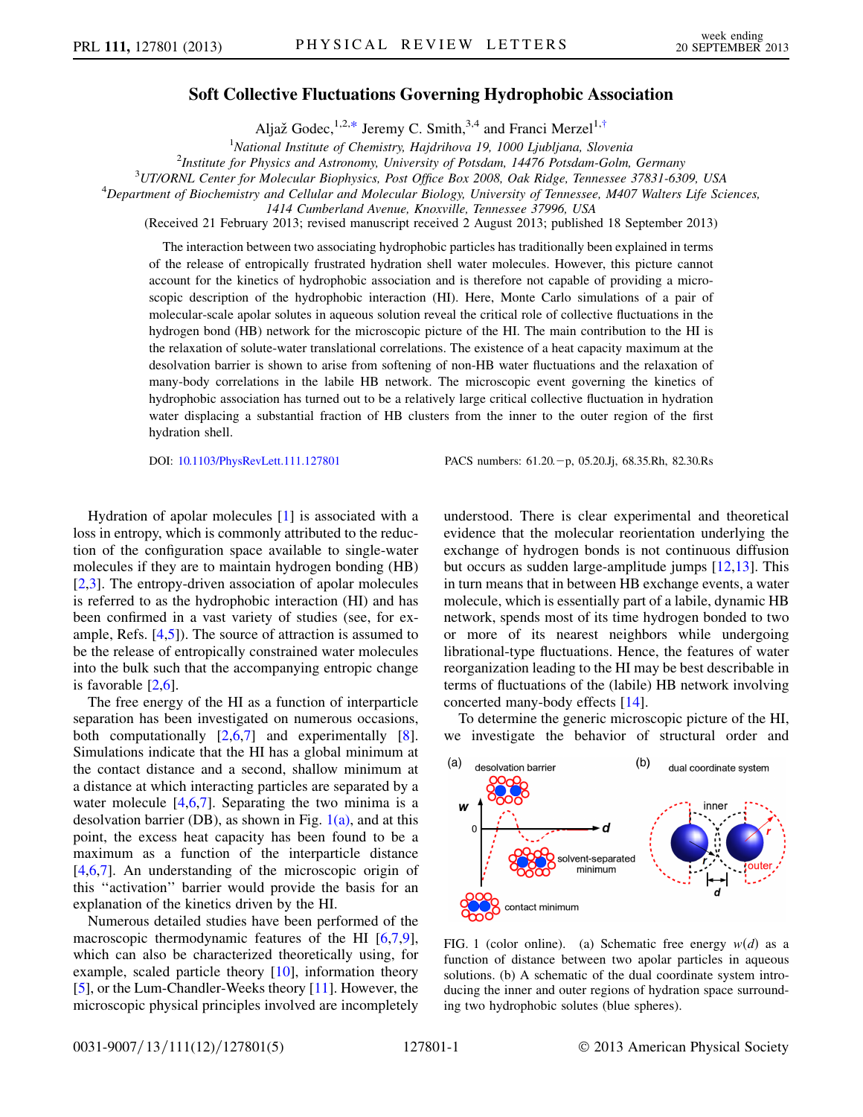## Soft Collective Fluctuations Governing Hydrophobic Association

Aljaž Godec,<sup>1,2,[\\*](#page-4-0)</sup> Jeremy C. Smith,<sup>3,4</sup> and Franci Merzel<sup>1,[†](#page-4-1)</sup>

<sup>1</sup>National Institute of Chemistry, Hajdrihova 19, 1000 Ljubljana, Slovenia<br><sup>2</sup>Institute for Physics and Astronomy University of Potsdam, 14476 Potsdam Golm

<sup>2</sup> Institute for Physics and Astronomy, University of Potsdam, 14476 Potsdam-Golm, Germany

 $10^3$ UT/ORNL Center for Molecular Biophysics, Post Office Box 2008, Oak Ridge, Tennessee 37831-6309, USA

<span id="page-0-1"></span> $^4$ Department of Biochemistry and Cellular and Molecular Biology, University of Tennessee, M407 Walters Life Sciences,

1414 Cumberland Avenue, Knoxville, Tennessee 37996, USA

(Received 21 February 2013; revised manuscript received 2 August 2013; published 18 September 2013)

The interaction between two associating hydrophobic particles has traditionally been explained in terms of the release of entropically frustrated hydration shell water molecules. However, this picture cannot account for the kinetics of hydrophobic association and is therefore not capable of providing a microscopic description of the hydrophobic interaction (HI). Here, Monte Carlo simulations of a pair of molecular-scale apolar solutes in aqueous solution reveal the critical role of collective fluctuations in the hydrogen bond (HB) network for the microscopic picture of the HI. The main contribution to the HI is the relaxation of solute-water translational correlations. The existence of a heat capacity maximum at the desolvation barrier is shown to arise from softening of non-HB water fluctuations and the relaxation of many-body correlations in the labile HB network. The microscopic event governing the kinetics of hydrophobic association has turned out to be a relatively large critical collective fluctuation in hydration water displacing a substantial fraction of HB clusters from the inner to the outer region of the first hydration shell.

DOI: [10.1103/PhysRevLett.111.127801](http://dx.doi.org/10.1103/PhysRevLett.111.127801) PACS numbers: 61.20. - p, 05.20.Jj, 68.35.Rh, 82.30.Rs

Hydration of apolar molecules [\[1\]](#page-4-2) is associated with a loss in entropy, which is commonly attributed to the reduction of the configuration space available to single-water molecules if they are to maintain hydrogen bonding (HB) [\[2,](#page-4-3)[3](#page-4-4)]. The entropy-driven association of apolar molecules is referred to as the hydrophobic interaction (HI) and has been confirmed in a vast variety of studies (see, for example, Refs. [\[4](#page-4-5)[,5](#page-4-6)]). The source of attraction is assumed to be the release of entropically constrained water molecules into the bulk such that the accompanying entropic change is favorable [[2](#page-4-3),[6\]](#page-4-7).

The free energy of the HI as a function of interparticle separation has been investigated on numerous occasions, both computationally [\[2,](#page-4-3)[6](#page-4-7),[7](#page-4-8)] and experimentally [[8\]](#page-4-9). Simulations indicate that the HI has a global minimum at the contact distance and a second, shallow minimum at a distance at which interacting particles are separated by a water molecule  $[4,6,7]$  $[4,6,7]$  $[4,6,7]$  $[4,6,7]$  $[4,6,7]$ . Separating the two minima is a desolvation barrier (DB), as shown in Fig.  $1(a)$ , and at this point, the excess heat capacity has been found to be a maximum as a function of the interparticle distance [\[4,](#page-4-5)[6](#page-4-7)[,7](#page-4-8)]. An understanding of the microscopic origin of this ''activation'' barrier would provide the basis for an explanation of the kinetics driven by the HI.

Numerous detailed studies have been performed of the macroscopic thermodynamic features of the HI [\[6](#page-4-7),[7](#page-4-8),[9\]](#page-4-10), which can also be characterized theoretically using, for example, scaled particle theory  $[10]$ , information theory [\[5\]](#page-4-6), or the Lum-Chandler-Weeks theory [[11](#page-4-12)]. However, the microscopic physical principles involved are incompletely understood. There is clear experimental and theoretical evidence that the molecular reorientation underlying the exchange of hydrogen bonds is not continuous diffusion but occurs as sudden large-amplitude jumps [[12](#page-4-13),[13](#page-4-14)]. This in turn means that in between HB exchange events, a water molecule, which is essentially part of a labile, dynamic HB network, spends most of its time hydrogen bonded to two or more of its nearest neighbors while undergoing librational-type fluctuations. Hence, the features of water reorganization leading to the HI may be best describable in terms of fluctuations of the (labile) HB network involving concerted many-body effects [[14](#page-4-15)].

To determine the generic microscopic picture of the HI, we investigate the behavior of structural order and



<span id="page-0-0"></span>FIG. 1 (color online). (a) Schematic free energy  $w(d)$  as a function of distance between two apolar particles in aqueous solutions. (b) A schematic of the dual coordinate system introducing the inner and outer regions of hydration space surrounding two hydrophobic solutes (blue spheres).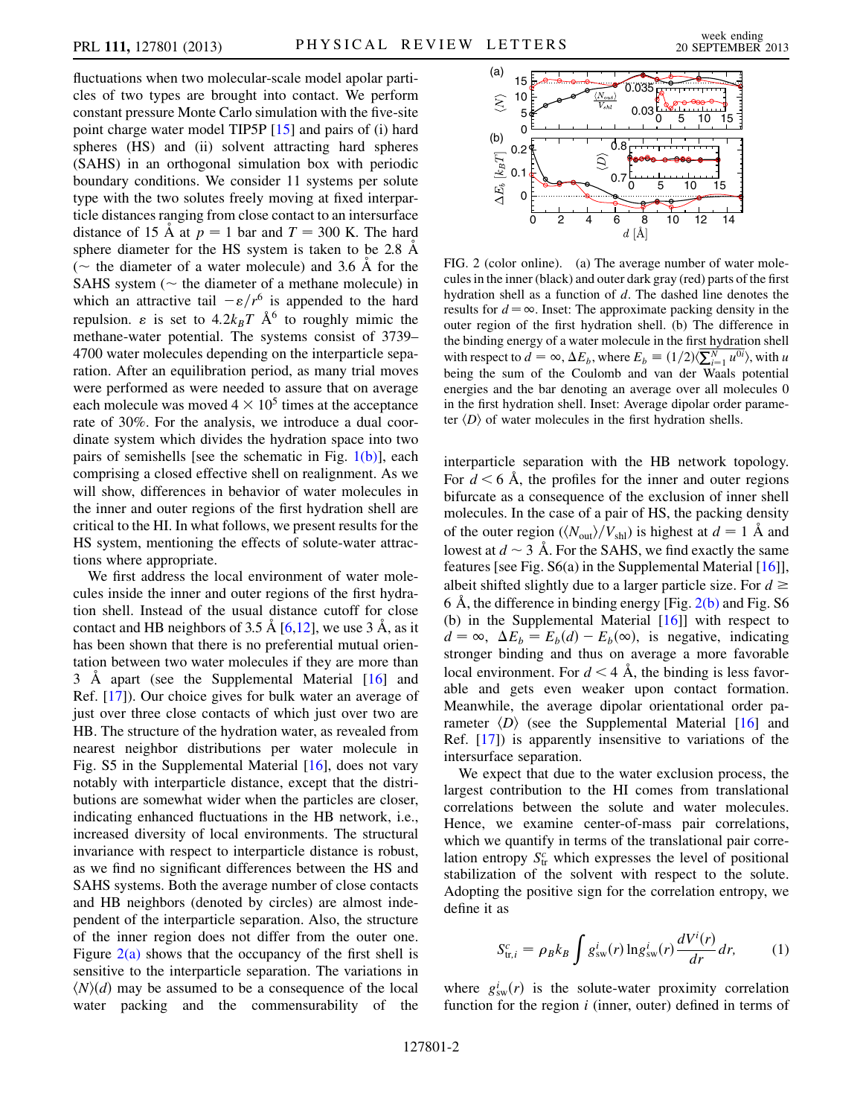fluctuations when two molecular-scale model apolar particles of two types are brought into contact. We perform constant pressure Monte Carlo simulation with the five-site point charge water model TIP5P [[15](#page-4-16)] and pairs of (i) hard spheres (HS) and (ii) solvent attracting hard spheres (SAHS) in an orthogonal simulation box with periodic boundary conditions. We consider 11 systems per solute type with the two solutes freely moving at fixed interparticle distances ranging from close contact to an intersurface distance of 15 Å at  $p = 1$  bar and  $T = 300$  K. The hard sphere diameter for the HS system is taken to be  $2.8 \text{ Å}$  $\tilde{C}$  the diameter of a water molecule) and 3.6 Å for the SAHS system  $\tilde{C}$  the diameter of a methane molecule) in SAHS system ( $\sim$  the diameter of a methane molecule) in<br>which an attractive tail  $-\epsilon/r^6$  is appended to the hard which an attractive tail  $-\varepsilon/r^6$  is appended to the hard repulsion.  $\varepsilon$  is set to  $4.2k_BT \text{ Å}^6$  to roughly mimic the methane-water potential. The systems consist of 3739– 4700 water molecules depending on the interparticle separation. After an equilibration period, as many trial moves were performed as were needed to assure that on average each molecule was moved  $4 \times 10^5$  times at the acceptance rate of 30%. For the analysis, we introduce a dual coordinate system which divides the hydration space into two pairs of semishells [see the schematic in Fig. [1\(b\)\]](#page-0-0), each comprising a closed effective shell on realignment. As we will show, differences in behavior of water molecules in the inner and outer regions of the first hydration shell are critical to the HI. In what follows, we present results for the HS system, mentioning the effects of solute-water attractions where appropriate.

We first address the local environment of water molecules inside the inner and outer regions of the first hydration shell. Instead of the usual distance cutoff for close contact and HB neighbors of 3.5  $\AA$  [\[6](#page-4-7)[,12](#page-4-13)], we use 3  $\AA$ , as it has been shown that there is no preferential mutual orientation between two water molecules if they are more than 3 A apart (see the Supplemental Material [[16](#page-4-17)] and Ref. [[17\]](#page-4-18)). Our choice gives for bulk water an average of just over three close contacts of which just over two are HB. The structure of the hydration water, as revealed from nearest neighbor distributions per water molecule in Fig. S5 in the Supplemental Material [[16](#page-4-17)], does not vary notably with interparticle distance, except that the distributions are somewhat wider when the particles are closer, indicating enhanced fluctuations in the HB network, i.e., increased diversity of local environments. The structural invariance with respect to interparticle distance is robust, as we find no significant differences between the HS and SAHS systems. Both the average number of close contacts and HB neighbors (denoted by circles) are almost independent of the interparticle separation. Also, the structure of the inner region does not differ from the outer one. Figure  $2(a)$  shows that the occupancy of the first shell is sensitive to the interparticle separation. The variations in  $\langle N \rangle$  may be assumed to be a consequence of the local water packing and the commensurability of the



<span id="page-1-0"></span>FIG. 2 (color online). (a) The average number of water molecules in the inner (black) and outer dark gray (red) parts of the first hydration shell as a function of d. The dashed line denotes the results for  $d = \infty$ . Inset: The approximate packing density in the outer region of the first hydration shell. (b) The difference in the binding energy of a water molecule in the first hydration shell with respect to  $d = \infty$ ,  $\Delta E_b$ , where  $E_b = (1/2)\langle \sum_{i=1}^{N} u^{0i} \rangle$ , with u being the sum of the Coulomb and van der Waals potential energies and the bar denoting an average over all molecules 0 in the first hydration shell. Inset: Average dipolar order parameter  $\langle D \rangle$  of water molecules in the first hydration shells.

interparticle separation with the HB network topology. For  $d \leq 6$  Å, the profiles for the inner and outer regions bifurcate as a consequence of the exclusion of inner shell molecules. In the case of a pair of HS, the packing density of the outer region ( $\langle N_{\text{out}} \rangle/V_{\text{sh}}$ ) is highest at  $d = 1$  Å and lowest at  $d \sim 3$  Å. For the SAHS, we find exactly the same<br>features [see Fig. S6(a) in the Supplemental Material [16]] features [see Fig.  $S6(a)$  in the Supplemental Material [\[16](#page-4-17)]], albeit shifted slightly due to a larger particle size. For  $d \ge$ 6 Å, the difference in binding energy [Fig.  $2(b)$  and Fig. S6 (b) in the Supplemental Material [[16](#page-4-17)]] with respect to  $d = \infty$ ,  $\Delta E_b = E_b(d) - E_b(\infty)$ , is negative, indicating<br>stronger binding and thus on average a more favorable stronger binding and thus on average a more favorable local environment. For  $d < 4$  Å, the binding is less favorable and gets even weaker upon contact formation. Meanwhile, the average dipolar orientational order parameter  $\langle D \rangle$  (see the Supplemental Material [[16](#page-4-17)] and Ref. [\[17\]](#page-4-18)) is apparently insensitive to variations of the intersurface separation.

We expect that due to the water exclusion process, the largest contribution to the HI comes from translational correlations between the solute and water molecules. Hence, we examine center-of-mass pair correlations, which we quantify in terms of the translational pair correlation entropy  $S_{tr}^c$  which expresses the level of positional stabilization of the solvent with respect to the solute. Adopting the positive sign for the correlation entropy, we define it as

$$
S_{\text{tr},i}^c = \rho_B k_B \int g_{\text{sw}}^i(r) \ln g_{\text{sw}}^i(r) \frac{dV^i(r)}{dr} dr, \qquad (1)
$$

where  $g_{sw}^{i}(r)$  is the solute-water proximity correlation<br>function for the region *i* (inner outer) defined in terms of function for the region  $i$  (inner, outer) defined in terms of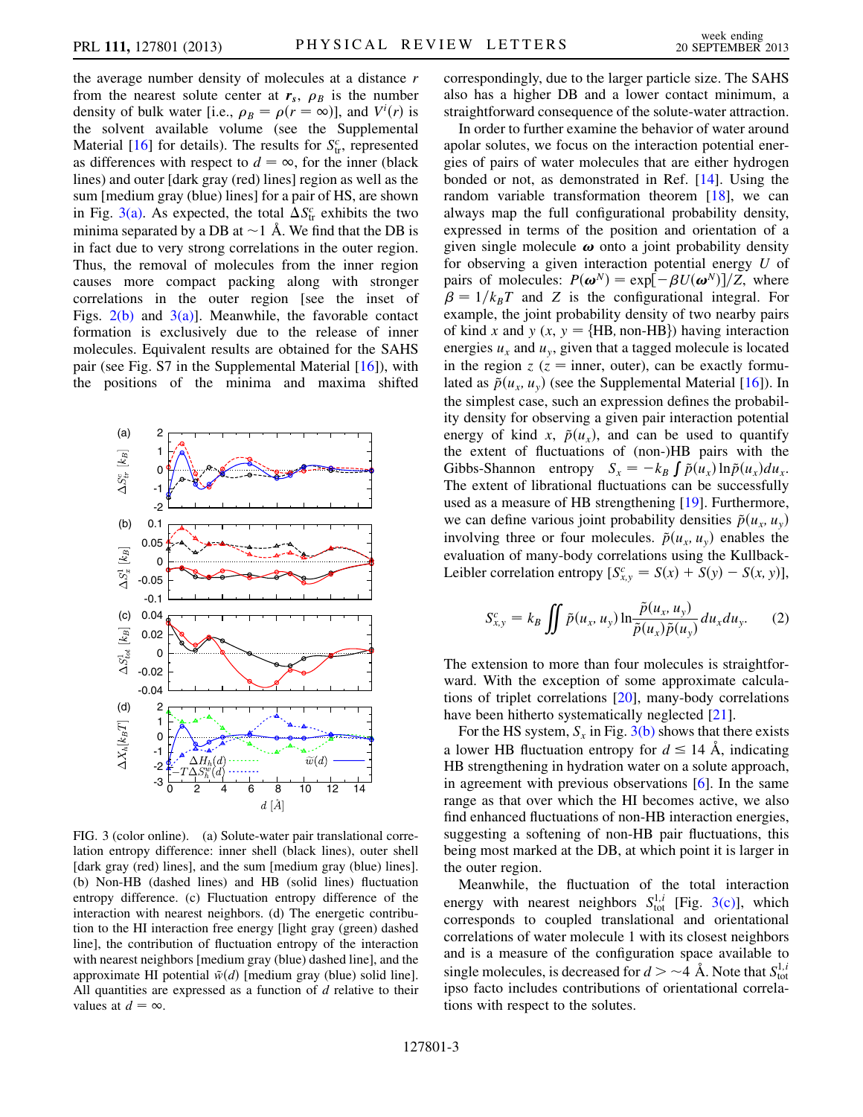the average number density of molecules at a distance  $r$ from the nearest solute center at  $r_s$ ,  $\rho_B$  is the number density of bulk water [i.e.,  $\rho_B = \rho(r = \infty)$ ], and  $V^i(r)$  is<br>the solvent available volume (see the Supplemental the solvent available volume (see the Supplemental Material [[16](#page-4-17)] for details). The results for  $S_{tr}^c$ , represented as differences with respect to  $d = \infty$ , for the inner (black lines) and outer [dark gray (red) lines] region as well as the sum [medium gray (blue) lines] for a pair of HS, are shown in Fig. [3\(a\)](#page-2-0). As expected, the total  $\Delta S_{tr}^c$  exhibits the two minima separated by a DB at  $\sim$  1 Å. We find that the DB is<br>in fact due to very strong correlations in the outer region in fact due to very strong correlations in the outer region. Thus, the removal of molecules from the inner region causes more compact packing along with stronger correlations in the outer region [see the inset of Figs.  $2(b)$  and  $3(a)$ ]. Meanwhile, the favorable contact formation is exclusively due to the release of inner molecules. Equivalent results are obtained for the SAHS pair (see Fig. S7 in the Supplemental Material [\[16\]](#page-4-17)), with the positions of the minima and maxima shifted



<span id="page-2-0"></span>FIG. 3 (color online). (a) Solute-water pair translational correlation entropy difference: inner shell (black lines), outer shell [dark gray (red) lines], and the sum [medium gray (blue) lines]. (b) Non-HB (dashed lines) and HB (solid lines) fluctuation entropy difference. (c) Fluctuation entropy difference of the interaction with nearest neighbors. (d) The energetic contribution to the HI interaction free energy [light gray (green) dashed line], the contribution of fluctuation entropy of the interaction with nearest neighbors [medium gray (blue) dashed line], and the approximate HI potential  $\tilde{w}(d)$  [medium gray (blue) solid line]. All quantities are expressed as a function of  $d$  relative to their values at  $d = \infty$ .

also has a higher DB and a lower contact minimum, a straightforward consequence of the solute-water attraction. In order to further examine the behavior of water around

correspondingly, due to the larger particle size. The SAHS

apolar solutes, we focus on the interaction potential energies of pairs of water molecules that are either hydrogen bonded or not, as demonstrated in Ref. [[14](#page-4-15)]. Using the random variable transformation theorem [[18\]](#page-4-19), we can always map the full configurational probability density, expressed in terms of the position and orientation of a given single molecule  $\omega$  onto a joint probability density for observing a given interaction potential energy U of pairs of molecules:  $P(\boldsymbol{\omega}^N) = \exp[-\beta U(\boldsymbol{\omega}^N)]/Z$ , where  $\beta = 1/k_pT$  and Z is the configurational integral. For  $\beta = 1/k_B T$  and Z is the configurational integral. For<br>example the joint probability density of two nearby pairs example, the joint probability density of two nearby pairs of kind x and y (x,  $y = {HB, non-HB}$ ) having interaction energies  $u_x$  and  $u_y$ , given that a tagged molecule is located in the region  $z$  ( $z$  = inner, outer), can be exactly formulated as  $\tilde{p}(u_x, u_y)$  (see the Supplemental Material [\[16\]](#page-4-17)). In the simplest case, such an expression defines the probability density for observing a given pair interaction potential energy of kind x,  $\tilde{p}(u_x)$ , and can be used to quantify the extent of fluctuations of (non-)HB pairs with the Gibbs-Shannon entropy  $S_x = -k_B \int \tilde{p}(u_x) \ln \tilde{p}(u_x) du_x$ .<br>The extent of librational fluctuations can be successfully The extent of librational fluctuations can be successfully used as a measure of HB strengthening [[19](#page-4-20)]. Furthermore, we can define various joint probability densities  $\tilde{p}(u_x, u_y)$ involving three or four molecules.  $\tilde{p}(u_x, u_y)$  enables the evaluation of many-body correlations using the Kullback-Leibler correlation entropy  $[S_{x,y}^c = S(x) + S(y) - S(x, y)],$ 

$$
S_{x,y}^c = k_B \iint \tilde{p}(u_x, u_y) \ln \frac{\tilde{p}(u_x, u_y)}{\tilde{p}(u_x)\tilde{p}(u_y)} du_x du_y.
$$
 (2)

The extension to more than four molecules is straightforward. With the exception of some approximate calculations of triplet correlations [\[20\]](#page-4-21), many-body correlations have been hitherto systematically neglected [[21](#page-4-22)].

For the HS system,  $S_r$  in Fig. [3\(b\)](#page-2-0) shows that there exists a lower HB fluctuation entropy for  $d \le 14$  Å, indicating HB strengthening in hydration water on a solute approach, in agreement with previous observations [\[6](#page-4-7)]. In the same range as that over which the HI becomes active, we also find enhanced fluctuations of non-HB interaction energies, suggesting a softening of non-HB pair fluctuations, this being most marked at the DB, at which point it is larger in the outer region.

Meanwhile, the fluctuation of the total interaction energy with nearest neighbors  $S_{\text{tot}}^{1,i}$  [Fig. [3\(c\)](#page-2-0)], which corresponds to coupled translational and orientational correlations of water molecule 1 with its closest neighbors and is a measure of the configuration space available to single molecules, is decreased for  $d > -4$  Å. Note that  $S_{\text{tot}}^{1,i}$ <br>inso facto includes contributions of orientational correlaipso facto includes contributions of orientational correlations with respect to the solutes.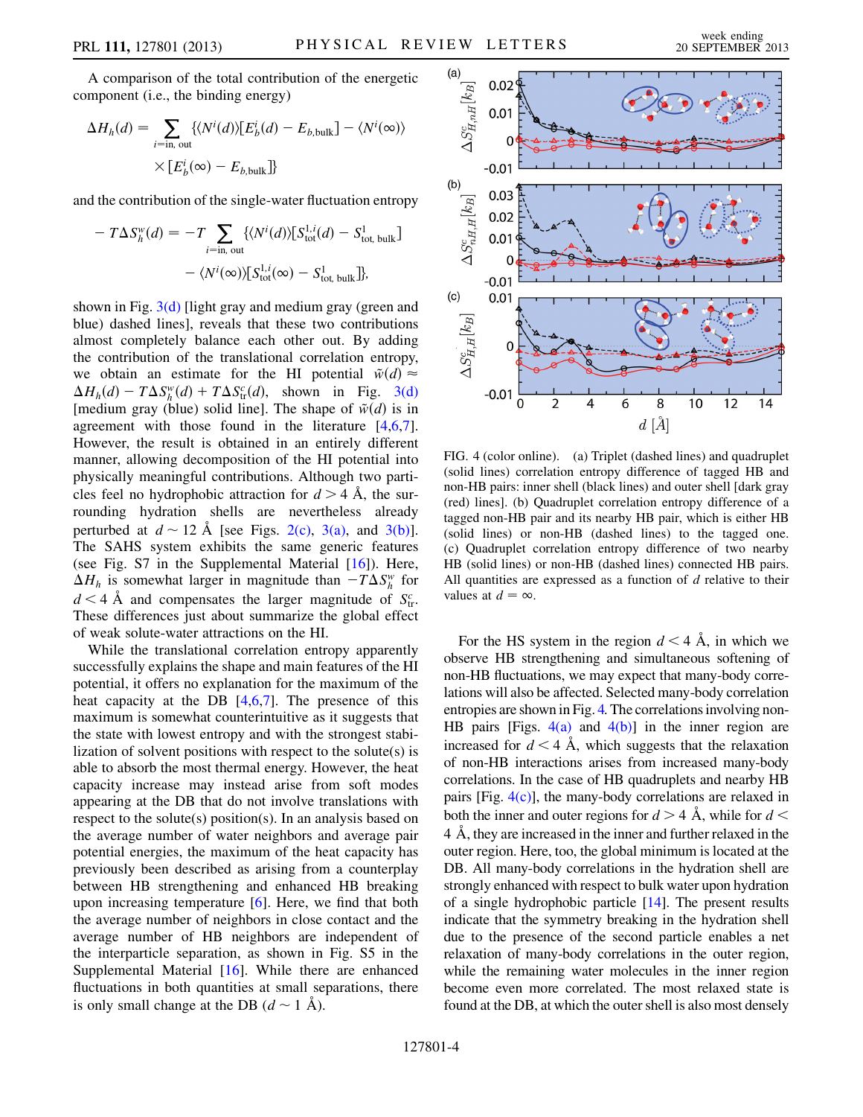A comparison of the total contribution of the energetic component (i.e., the binding energy)

<span id="page-3-0"></span>
$$
\Delta H_h(d) = \sum_{i=\text{in, out}} \{ \langle N^i(d) \rangle [E^i_b(d) - E_{b,\text{bulk}}] - \langle N^i(\infty) \rangle \times [E^i_b(\infty) - E_{b,\text{bulk}}] \}
$$

and the contribution of the single-water fluctuation entropy

$$
-T\Delta S_h^w(d) = -T \sum_{i=\text{in, out}} \{ \langle N^i(d) \rangle [S_{\text{tot}}^{1,i}(d) - S_{\text{tot, bulk}}^1] - \langle N^i(\infty) \rangle [S_{\text{tot}}^{1,i}(\infty) - S_{\text{tot, bulk}}^1] \},
$$

shown in Fig.  $3(d)$  [light gray and medium gray (green and blue) dashed lines], reveals that these two contributions almost completely balance each other out. By adding the contribution of the translational correlation entropy, we obtain an estimate for the HI potential  $\tilde{w}(d) \approx$  $\Delta H_h(d) - T \Delta S_h^w(d) + T \Delta S_h^c(d)$ , shown in Fig. [3\(d\)](#page-2-0)<br>Imedium gray (blue) solid line]. The shape of  $\tilde{w}(d)$  is in [medium gray (blue) solid line]. The shape of  $\tilde{w}(d)$  is in agreement with those found in the literature  $[4,6,7]$  $[4,6,7]$  $[4,6,7]$  $[4,6,7]$  $[4,6,7]$ . However, the result is obtained in an entirely different manner, allowing decomposition of the HI potential into physically meaningful contributions. Although two particles feel no hydrophobic attraction for  $d > 4$  Å, the surrounding hydration shells are nevertheless already perturbed at  $d \sim 12 \text{ Å}$  [see Figs. [2\(c\),](#page-1-0) [3\(a\)](#page-2-0), and [3\(b\)\]](#page-2-0).<br>The SAHS system exhibits the same generic features The SAHS system exhibits the same generic features (see Fig.  $S7$  in the Supplemental Material  $[16]$  $[16]$ ). Here,  $\Delta H_h$  is somewhat larger in magnitude than  $-T\Delta S_h^w$  for  $d < A$ ,  $\lambda$  and companients the larger magnitude of  $S_c^c$  $d < 4$  Å and compensates the larger magnitude of  $S_{tr}^c$ . These differences just about summarize the global effect of weak solute-water attractions on the HI.

While the translational correlation entropy apparently successfully explains the shape and main features of the HI potential, it offers no explanation for the maximum of the heat capacity at the DB  $[4,6,7]$  $[4,6,7]$  $[4,6,7]$  $[4,6,7]$  $[4,6,7]$ . The presence of this maximum is somewhat counterintuitive as it suggests that the state with lowest entropy and with the strongest stabilization of solvent positions with respect to the solute(s) is able to absorb the most thermal energy. However, the heat capacity increase may instead arise from soft modes appearing at the DB that do not involve translations with respect to the solute(s) position(s). In an analysis based on the average number of water neighbors and average pair potential energies, the maximum of the heat capacity has previously been described as arising from a counterplay between HB strengthening and enhanced HB breaking upon increasing temperature [[6](#page-4-7)]. Here, we find that both the average number of neighbors in close contact and the average number of HB neighbors are independent of the interparticle separation, as shown in Fig. S5 in the Supplemental Material [[16](#page-4-17)]. While there are enhanced fluctuations in both quantities at small separations, there is only small change at the DB  $(d \sim 1 \text{ Å})$ .



<span id="page-3-1"></span>FIG. 4 (color online). (a) Triplet (dashed lines) and quadruplet (solid lines) correlation entropy difference of tagged HB and non-HB pairs: inner shell (black lines) and outer shell [dark gray (red) lines]. (b) Quadruplet correlation entropy difference of a tagged non-HB pair and its nearby HB pair, which is either HB (solid lines) or non-HB (dashed lines) to the tagged one. (c) Quadruplet correlation entropy difference of two nearby HB (solid lines) or non-HB (dashed lines) connected HB pairs. All quantities are expressed as a function of  $d$  relative to their values at  $d = \infty$ .

For the HS system in the region  $d < 4$  Å, in which we observe HB strengthening and simultaneous softening of non-HB fluctuations, we may expect that many-body correlations will also be affected. Selected many-body correlation entropies are shown in Fig. [4.](#page-3-0) The correlations involving non-HB pairs [Figs.  $4(a)$  and  $4(b)$ ] in the inner region are increased for  $d < 4$  Å, which suggests that the relaxation of non-HB interactions arises from increased many-body correlations. In the case of HB quadruplets and nearby HB pairs [Fig.  $4(c)$ ], the many-body correlations are relaxed in both the inner and outer regions for  $d > 4$  Å, while for  $d <$ 4 A , they are increased in the inner and further relaxed in the outer region. Here, too, the global minimum is located at the DB. All many-body correlations in the hydration shell are strongly enhanced with respect to bulk water upon hydration of a single hydrophobic particle [\[14](#page-4-15)]. The present results indicate that the symmetry breaking in the hydration shell due to the presence of the second particle enables a net relaxation of many-body correlations in the outer region, while the remaining water molecules in the inner region become even more correlated. The most relaxed state is found at the DB, at which the outer shell is also most densely